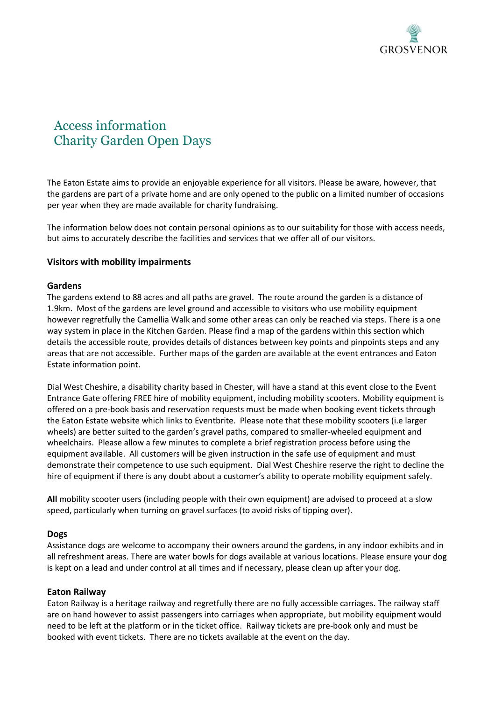

# Access information Charity Garden Open Days

The Eaton Estate aims to provide an enjoyable experience for all visitors. Please be aware, however, that the gardens are part of a private home and are only opened to the public on a limited number of occasions per year when they are made available for charity fundraising.

The information below does not contain personal opinions as to our suitability for those with access needs, but aims to accurately describe the facilities and services that we offer all of our visitors.

## **Visitors with mobility impairments**

#### **Gardens**

The gardens extend to 88 acres and all paths are gravel. The route around the garden is a distance of 1.9km. Most of the gardens are level ground and accessible to visitors who use mobility equipment however regretfully the Camellia Walk and some other areas can only be reached via steps. There is a one way system in place in the Kitchen Garden. Please find a map of the gardens within this section which details the accessible route, provides details of distances between key points and pinpoints steps and any areas that are not accessible. Further maps of the garden are available at the event entrances and Eaton Estate information point.

Dial West Cheshire, a disability charity based in Chester, will have a stand at this event close to the Event Entrance Gate offering FREE hire of mobility equipment, including mobility scooters. Mobility equipment is offered on a pre-book basis and reservation requests must be made when booking event tickets through the Eaton Estate website which links to Eventbrite. Please note that these mobility scooters (i.e larger wheels) are better suited to the garden's gravel paths, compared to smaller-wheeled equipment and wheelchairs. Please allow a few minutes to complete a brief registration process before using the equipment available. All customers will be given instruction in the safe use of equipment and must demonstrate their competence to use such equipment. Dial West Cheshire reserve the right to decline the hire of equipment if there is any doubt about a customer's ability to operate mobility equipment safely.

**All** mobility scooter users (including people with their own equipment) are advised to proceed at a slow speed, particularly when turning on gravel surfaces (to avoid risks of tipping over).

#### **Dogs**

Assistance dogs are welcome to accompany their owners around the gardens, in any indoor exhibits and in all refreshment areas. There are water bowls for dogs available at various locations. Please ensure your dog is kept on a lead and under control at all times and if necessary, please clean up after your dog.

#### **Eaton Railway**

Eaton Railway is a heritage railway and regretfully there are no fully accessible carriages. The railway staff are on hand however to assist passengers into carriages when appropriate, but mobility equipment would need to be left at the platform or in the ticket office. Railway tickets are pre-book only and must be booked with event tickets. There are no tickets available at the event on the day.